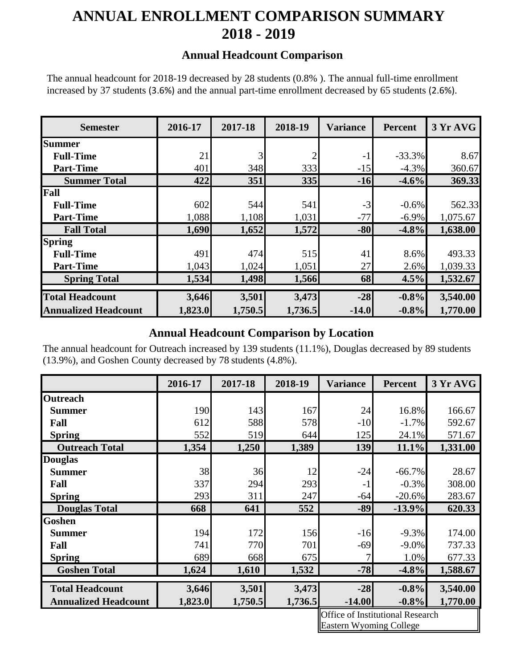# **ANNUAL ENROLLMENT COMPARISON SUMMARY 2018 - 2019**

#### **Annual Headcount Comparison**

The annual headcount for 2018-19 decreased by 28 students (0.8% ). The annual full-time enrollment increased by 37 students (3.6%) and the annual part-time enrollment decreased by 65 students (2.6%).

| <b>Semester</b>             | 2016-17 | 2017-18 | 2018-19        | <b>Variance</b> | <b>Percent</b> | 3 Yr AVG |
|-----------------------------|---------|---------|----------------|-----------------|----------------|----------|
| <b>Summer</b>               |         |         |                |                 |                |          |
| <b>Full-Time</b>            | 21      |         | $\overline{2}$ | $-1$            | $-33.3%$       | 8.67     |
| <b>Part-Time</b>            | 401     | 348     | 333            | $-15$           | $-4.3%$        | 360.67   |
| <b>Summer Total</b>         | 422     | 351     | 335            | $-16$           | $-4.6%$        | 369.33   |
| Fall                        |         |         |                |                 |                |          |
| <b>Full-Time</b>            | 602     | 544     | 541            | $-3$            | $-0.6%$        | 562.33   |
| <b>Part-Time</b>            | 1,088   | 1,108   | 1,031          | $-77$           | $-6.9\%$       | 1,075.67 |
| <b>Fall Total</b>           | 1,690   | 1,652   | 1,572          | $-80$           | $-4.8%$        | 1,638.00 |
| <b>Spring</b>               |         |         |                |                 |                |          |
| <b>Full-Time</b>            | 491     | 474     | 515            | 41              | 8.6%           | 493.33   |
| <b>Part-Time</b>            | 1,043   | 1,024   | 1,051          | 27              | 2.6%           | 1,039.33 |
| <b>Spring Total</b>         | 1,534   | 1,498   | 1,566          | 68              | 4.5%           | 1,532.67 |
| <b>Total Headcount</b>      |         |         |                | $-28$           |                |          |
|                             | 3,646   | 3,501   | 3,473          |                 | $-0.8%$        | 3,540.00 |
| <b>Annualized Headcount</b> | 1,823.0 | 1,750.5 | 1,736.5        | $-14.0$         | $-0.8%$        | 1,770.00 |

### **Annual Headcount Comparison by Location**

The annual headcount for Outreach increased by 139 students (11.1%), Douglas decreased by 89 students (13.9%), and Goshen County decreased by 78 students (4.8%).

|                             | 2016-17 | 2017-18 | 2018-19 | <b>Variance</b>                         | <b>Percent</b> | 3 Yr AVG |
|-----------------------------|---------|---------|---------|-----------------------------------------|----------------|----------|
| <b>Outreach</b>             |         |         |         |                                         |                |          |
| <b>Summer</b>               | 190     | 143     | 167     | 24                                      | 16.8%          | 166.67   |
| Fall                        | 612     | 588     | 578     | $-10$                                   | $-1.7%$        | 592.67   |
| <b>Spring</b>               | 552     | 519     | 644     | 125                                     | 24.1%          | 571.67   |
| <b>Outreach Total</b>       | 1,354   | 1,250   | 1,389   | 139                                     | 11.1%          | 1,331.00 |
| <b>Douglas</b>              |         |         |         |                                         |                |          |
| <b>Summer</b>               | 38      | 36      | 12      | $-24$                                   | $-66.7%$       | 28.67    |
| Fall                        | 337     | 294     | 293     | $-1$                                    | $-0.3%$        | 308.00   |
| <b>Spring</b>               | 293     | 311     | 247     | $-64$                                   | $-20.6%$       | 283.67   |
| <b>Douglas Total</b>        | 668     | 641     | 552     | $-89$                                   | $-13.9%$       | 620.33   |
| Goshen                      |         |         |         |                                         |                |          |
| <b>Summer</b>               | 194     | 172     | 156     | $-16$                                   | $-9.3%$        | 174.00   |
| Fall                        | 741     | 770     | 701     | $-69$                                   | $-9.0\%$       | 737.33   |
| <b>Spring</b>               | 689     | 668     | 675     | 7                                       | 1.0%           | 677.33   |
| <b>Goshen Total</b>         | 1,624   | 1,610   | 1,532   | $-78$                                   | $-4.8%$        | 1,588.67 |
| <b>Total Headcount</b>      | 3,646   | 3,501   | 3,473   | $-28$                                   | $-0.8%$        | 3,540.00 |
|                             |         |         |         |                                         |                |          |
| <b>Annualized Headcount</b> | 1,823.0 | 1,750.5 | 1,736.5 | $-14.00$                                | $-0.8\%$       | 1,770.00 |
|                             |         |         |         | <b>Office of Institutional Research</b> |                |          |

Office of Institutional Research Eastern Wyoming College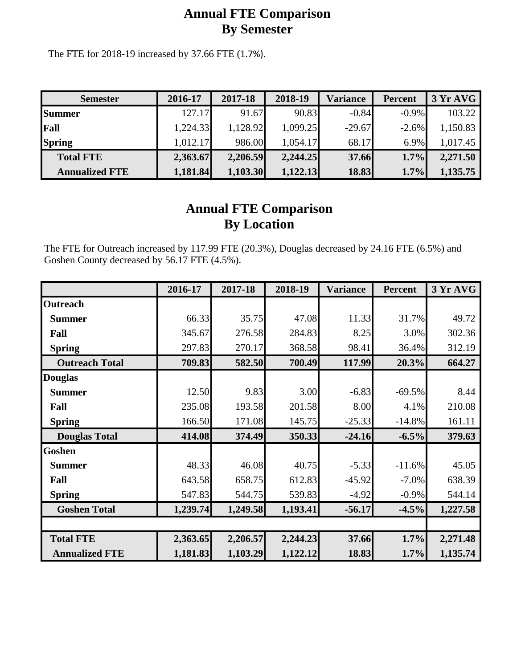## **Annual FTE Comparison By Semester**

The FTE for 2018-19 increased by 37.66 FTE (1.7%).

| <b>Semester</b>       | 2016-17  | 2017-18  | 2018-19  | Variance | <b>Percent</b> | 3 Yr AVG |
|-----------------------|----------|----------|----------|----------|----------------|----------|
| <b>Summer</b>         | 127.17   | 91.67    | 90.83    | $-0.84$  | $-0.9\%$       | 103.22   |
| Fall                  | 1,224.33 | 1,128.92 | 1,099.25 | $-29.67$ | $-2.6\%$       | 1,150.83 |
| <b>Spring</b>         | 1,012.17 | 986.00   | 1,054.17 | 68.17    | 6.9%           | 1,017.45 |
| <b>Total FTE</b>      | 2,363.67 | 2,206.59 | 2,244.25 | 37.66    | $1.7\%$        | 2,271.50 |
| <b>Annualized FTE</b> | 1,181.84 | 1,103.30 | 1,122.13 | 18.83    | 1.7%           | 1,135.75 |

## **Annual FTE Comparison By Location**

The FTE for Outreach increased by 117.99 FTE (20.3%), Douglas decreased by 24.16 FTE (6.5%) and Goshen County decreased by 56.17 FTE (4.5%).

|                       | 2016-17  | 2017-18  | 2018-19  | <b>Variance</b> | <b>Percent</b> | 3 Yr AVG |
|-----------------------|----------|----------|----------|-----------------|----------------|----------|
| <b>Outreach</b>       |          |          |          |                 |                |          |
| <b>Summer</b>         | 66.33    | 35.75    | 47.08    | 11.33           | 31.7%          | 49.72    |
| Fall                  | 345.67   | 276.58   | 284.83   | 8.25            | 3.0%           | 302.36   |
| <b>Spring</b>         | 297.83   | 270.17   | 368.58   | 98.41           | 36.4%          | 312.19   |
| <b>Outreach Total</b> | 709.83   | 582.50   | 700.49   | 117.99          | 20.3%          | 664.27   |
| <b>Douglas</b>        |          |          |          |                 |                |          |
| <b>Summer</b>         | 12.50    | 9.83     | 3.00     | $-6.83$         | $-69.5%$       | 8.44     |
| Fall                  | 235.08   | 193.58   | 201.58   | 8.00            | 4.1%           | 210.08   |
| <b>Spring</b>         | 166.50   | 171.08   | 145.75   | $-25.33$        | $-14.8%$       | 161.11   |
| <b>Douglas Total</b>  | 414.08   | 374.49   | 350.33   | $-24.16$        | $-6.5%$        | 379.63   |
| <b>Goshen</b>         |          |          |          |                 |                |          |
| <b>Summer</b>         | 48.33    | 46.08    | 40.75    | $-5.33$         | $-11.6%$       | 45.05    |
| Fall                  | 643.58   | 658.75   | 612.83   | $-45.92$        | $-7.0\%$       | 638.39   |
| <b>Spring</b>         | 547.83   | 544.75   | 539.83   | $-4.92$         | $-0.9%$        | 544.14   |
| <b>Goshen Total</b>   | 1,239.74 | 1,249.58 | 1,193.41 | $-56.17$        | $-4.5%$        | 1,227.58 |
|                       |          |          |          |                 |                |          |
| <b>Total FTE</b>      | 2,363.65 | 2,206.57 | 2,244.23 | 37.66           | 1.7%           | 2,271.48 |
| <b>Annualized FTE</b> | 1,181.83 | 1,103.29 | 1,122.12 | 18.83           | 1.7%           | 1,135.74 |